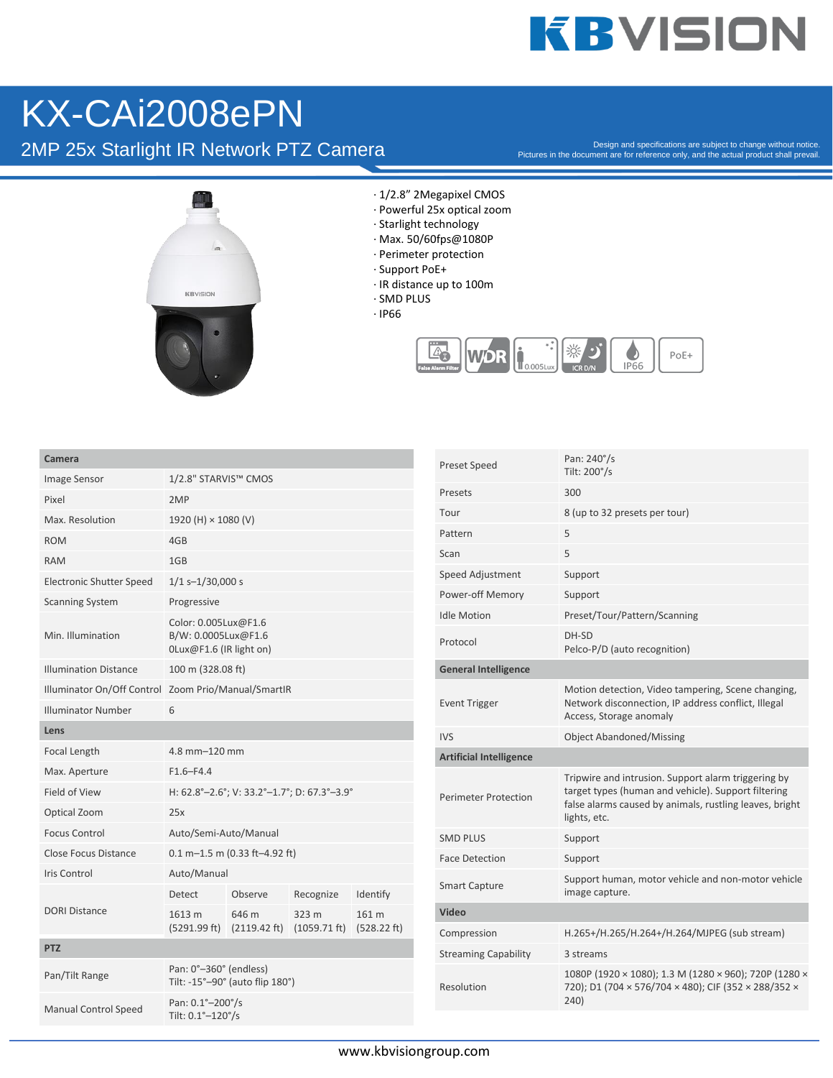## **KBVISION**

## KX-CAi2008ePN

2MP 25x Starlight IR Network PTZ Camera

Pictures in the document are for reference only, and the actual product shall prevail.



- · 1/2.8" 2Megapixel CMOS
- · Powerful 25x optical zoom
- · Starlight technology
- · Max. 50/60fps@1080P
- · Perimeter protection
- · Support PoE+
- · IR distance up to 100m
- · SMD PLUS
- · IP66



| Camera |  |  |
|--------|--|--|
|        |  |  |

| Camera                          |                                                                          |                                                        |                                 |                      |
|---------------------------------|--------------------------------------------------------------------------|--------------------------------------------------------|---------------------------------|----------------------|
| <b>Image Sensor</b>             | 1/2.8" STARVIS™ CMOS                                                     |                                                        |                                 |                      |
| Pixel                           | 2MP                                                                      |                                                        |                                 |                      |
| Max. Resolution                 | 1920 (H) × 1080 (V)                                                      |                                                        |                                 |                      |
| <b>ROM</b>                      | 4GB                                                                      |                                                        |                                 |                      |
| <b>RAM</b>                      | 1GB                                                                      |                                                        |                                 |                      |
| <b>Electronic Shutter Speed</b> | $1/1$ s-1/30,000 s                                                       |                                                        |                                 |                      |
| <b>Scanning System</b>          | Progressive                                                              |                                                        |                                 |                      |
| Min. Illumination               | Color: 0.005Lux@F1.6<br>B/W: 0.0005Lux@F1.6<br>$OLux@F1.6$ (IR light on) |                                                        |                                 |                      |
| <b>Illumination Distance</b>    | 100 m (328.08 ft)                                                        |                                                        |                                 |                      |
| Illuminator On/Off Control      | Zoom Prio/Manual/SmartIR                                                 |                                                        |                                 |                      |
| <b>Illuminator Number</b>       | 6                                                                        |                                                        |                                 |                      |
| Lens                            |                                                                          |                                                        |                                 |                      |
| Focal Length                    | 4.8 mm-120 mm                                                            |                                                        |                                 |                      |
| Max. Aperture                   | $F1.6 - F4.4$                                                            |                                                        |                                 |                      |
| Field of View                   | H: 62.8°-2.6°; V: 33.2°-1.7°; D: 67.3°-3.9°                              |                                                        |                                 |                      |
| Optical Zoom                    | 25x                                                                      |                                                        |                                 |                      |
| <b>Focus Control</b>            | Auto/Semi-Auto/Manual                                                    |                                                        |                                 |                      |
| Close Focus Distance            | $0.1 m - 1.5 m (0.33 ft - 4.92 ft)$                                      |                                                        |                                 |                      |
| <b>Iris Control</b>             | Auto/Manual                                                              |                                                        |                                 |                      |
|                                 | <b>Detect</b>                                                            | Observe                                                | Recognize                       | Identify             |
| <b>DORI Distance</b>            | 1613 m                                                                   | 646 m<br>$(5291.99 \text{ ft})$ $(2119.42 \text{ ft})$ | 323 m<br>$(1059.71 \text{ ft})$ | 161 m<br>(528.22 ft) |
| <b>PTZ</b>                      |                                                                          |                                                        |                                 |                      |
| Pan/Tilt Range                  | Pan: 0°-360° (endless)<br>Tilt: -15°-90° (auto flip 180°)                |                                                        |                                 |                      |
| <b>Manual Control Speed</b>     | Pan: 0.1°-200°/s<br>Tilt: 0.1°-120°/s                                    |                                                        |                                 |                      |

| Preset Speed                   | Pan: 240°/s<br>Tilt: 200°/s                                                                                                                                                           |
|--------------------------------|---------------------------------------------------------------------------------------------------------------------------------------------------------------------------------------|
| Presets                        | 300                                                                                                                                                                                   |
| Tour                           | 8 (up to 32 presets per tour)                                                                                                                                                         |
| Pattern                        | 5                                                                                                                                                                                     |
| Scan                           | 5                                                                                                                                                                                     |
| Speed Adjustment               | Support                                                                                                                                                                               |
| Power-off Memory               | Support                                                                                                                                                                               |
| <b>Idle Motion</b>             | Preset/Tour/Pattern/Scanning                                                                                                                                                          |
| Protocol                       | DH-SD<br>Pelco-P/D (auto recognition)                                                                                                                                                 |
| <b>General Intelligence</b>    |                                                                                                                                                                                       |
| <b>Event Trigger</b>           | Motion detection, Video tampering, Scene changing,<br>Network disconnection, IP address conflict, Illegal<br>Access, Storage anomaly                                                  |
| IVS                            | <b>Object Abandoned/Missing</b>                                                                                                                                                       |
| <b>Artificial Intelligence</b> |                                                                                                                                                                                       |
| Perimeter Protection           | Tripwire and intrusion. Support alarm triggering by<br>target types (human and vehicle). Support filtering<br>false alarms caused by animals, rustling leaves, bright<br>lights, etc. |
| SMD PLUS                       | Support                                                                                                                                                                               |
| <b>Face Detection</b>          | Support                                                                                                                                                                               |
| <b>Smart Capture</b>           | Support human, motor vehicle and non-motor vehicle<br>image capture.                                                                                                                  |
| Video                          |                                                                                                                                                                                       |
| Compression                    | H.265+/H.265/H.264+/H.264/MJPEG (sub stream)                                                                                                                                          |
| <b>Streaming Capability</b>    | 3 streams                                                                                                                                                                             |
| Resolution                     | 1080P (1920 × 1080); 1.3 M (1280 × 960); 720P (1280 ×<br>720); D1 (704 × 576/704 × 480); CIF (352 × 288/352 ×<br>240)                                                                 |